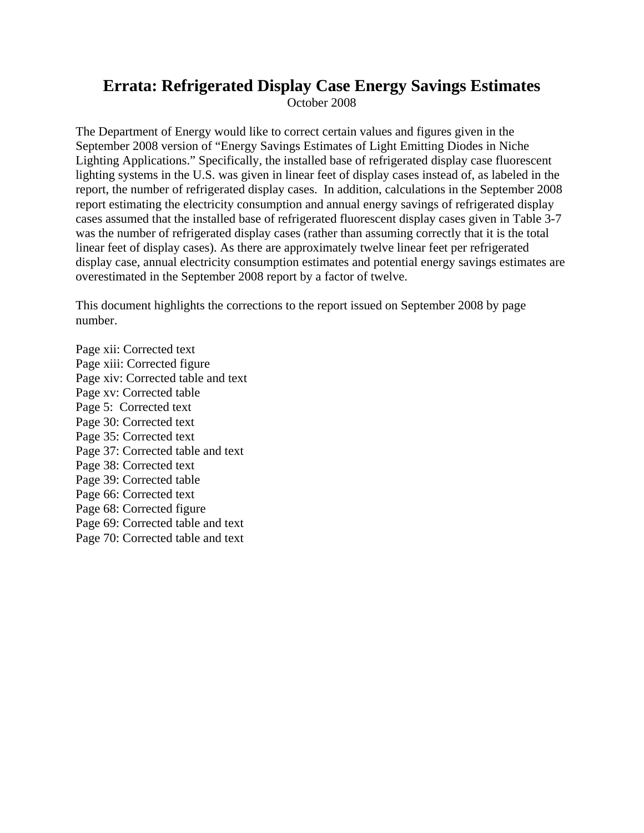# **Errata: Refrigerated Display Case Energy Savings Estimates**

October 2008

The Department of Energy would like to correct certain values and figures given in the September 2008 version of "Energy Savings Estimates of Light Emitting Diodes in Niche Lighting Applications." Specifically, the installed base of refrigerated display case fluorescent lighting systems in the U.S. was given in linear feet of display cases instead of, as labeled in the report, the number of refrigerated display cases. In addition, calculations in the September 2008 report estimating the electricity consumption and annual energy savings of refrigerated display cases assumed that the installed base of refrigerated fluorescent display cases given in Table 3-7 was the number of refrigerated display cases (rather than assuming correctly that it is the total linear feet of display cases). As there are approximately twelve linear feet per refrigerated display case, annual electricity consumption estimates and potential energy savings estimates are overestimated in the September 2008 report by a factor of twelve.

This document highlights the corrections to the report issued on September 2008 by page number.

Page xii: Corrected text Page xiii: Corrected figure Page xiv: Corrected table and text Page xv: Corrected table Page 5: Corrected text Page 30: Corrected text Page 35: Corrected text Page 37: Corrected table and text Page 38: Corrected text Page 39: Corrected table Page 66: Corrected text Page 68: Corrected figure Page 69: Corrected table and text Page 70: Corrected table and text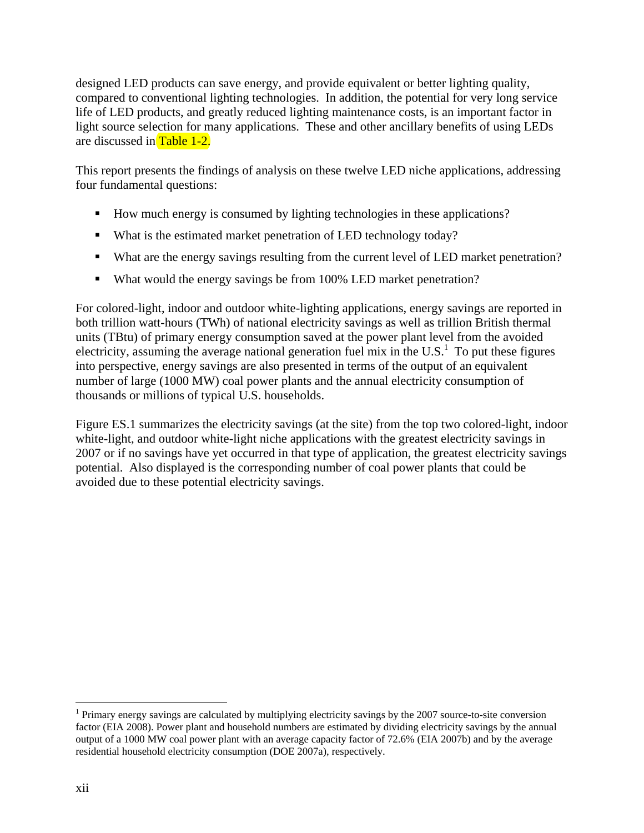designed LED products can save energy, and provide equivalent or better lighting quality, compared to conventional lighting technologies. In addition, the potential for very long service life of LED products, and greatly reduced lighting maintenance costs, is an important factor in light source selection for many applications. These and other ancillary benefits of using LEDs are discussed in Table 1-2.

This report presents the findings of analysis on these twelve LED niche applications, addressing four fundamental questions:

- How much energy is consumed by lighting technologies in these applications?
- What is the estimated market penetration of LED technology today?
- What are the energy savings resulting from the current level of LED market penetration?
- What would the energy savings be from 100% LED market penetration?

For colored-light, indoor and outdoor white-lighting applications, energy savings are reported in both trillion watt-hours (TWh) of national electricity savings as well as trillion British thermal units (TBtu) of primary energy consumption saved at the power plant level from the avoided electricity, assuming the average national generation fuel mix in the U.S.<sup>1</sup> To put these figures into perspective, energy savings are also presented in terms of the output of an equivalent number of large (1000 MW) coal power plants and the annual electricity consumption of thousands or millions of typical U.S. households.

Figure ES.1 summarizes the electricity savings (at the site) from the top two colored-light, indoor white-light, and outdoor white-light niche applications with the greatest electricity savings in 2007 or if no savings have yet occurred in that type of application, the greatest electricity savings potential. Also displayed is the corresponding number of coal power plants that could be avoided due to these potential electricity savings.

<u>.</u>

<sup>&</sup>lt;sup>1</sup> Primary energy savings are calculated by multiplying electricity savings by the  $2007$  source-to-site conversion factor (EIA 2008). Power plant and household numbers are estimated by dividing electricity savings by the annual output of a 1000 MW coal power plant with an average capacity factor of 72.6% (EIA 2007b) and by the average residential household electricity consumption (DOE 2007a), respectively.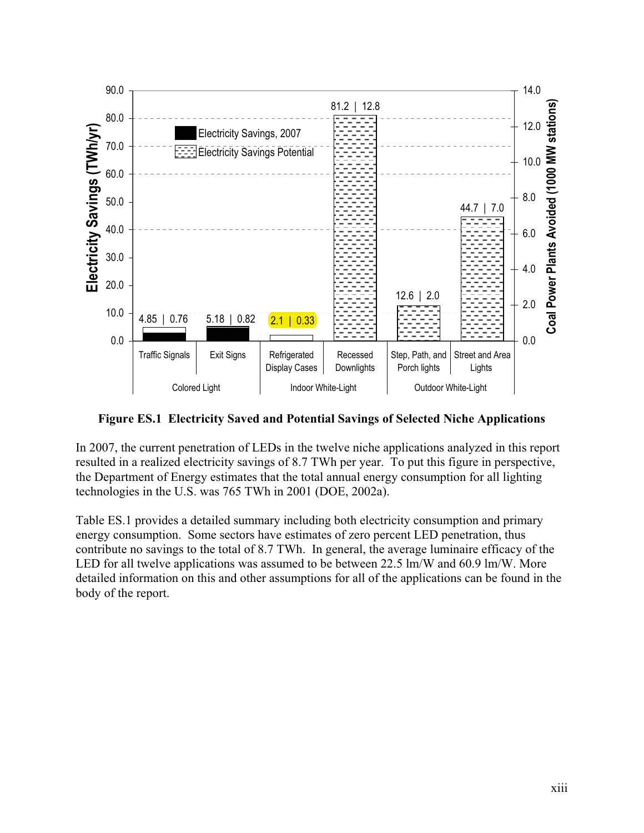

**Figure ES.1 Electricity Saved and Potential Savings of Selected Niche Applications** 

In 2007, the current penetration of LEDs in the twelve niche applications analyzed in this report resulted in a realized electricity savings of 8.7 TWh per year. To put this figure in perspective, the Department of Energy estimates that the total annual energy consumption for all lighting technologies in the U.S. was 765 TWh in 2001 (DOE, 2002a).

Table ES.1 provides a detailed summary including both electricity consumption and primary energy consumption. Some sectors have estimates of zero percent LED penetration, thus contribute no savings to the total of 8.7 TWh. In general, the average luminaire efficacy of the LED for all twelve applications was assumed to be between 22.5 lm/W and 60.9 lm/W. More detailed information on this and other assumptions for all of the applications can be found in the body of the report.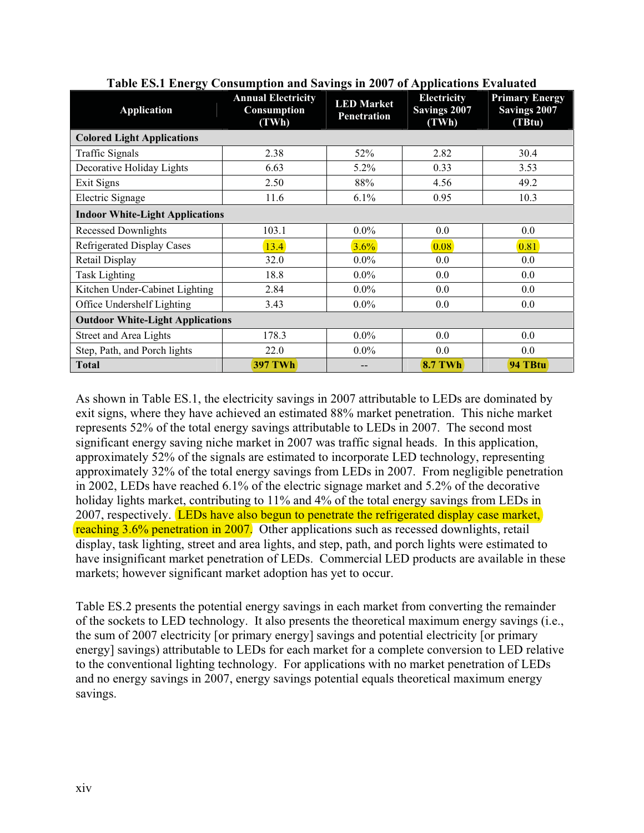| ິ<br>Application                        | <b>Annual Electricity</b><br>Consumption<br>(TWh) | -<br><b>LED</b> Market<br><b>Penetration</b> | <b>Electricity</b><br>Savings 2007<br>(TWh) | <b>Primary Energy</b><br>Savings 2007<br>(TBtu) |  |  |
|-----------------------------------------|---------------------------------------------------|----------------------------------------------|---------------------------------------------|-------------------------------------------------|--|--|
| <b>Colored Light Applications</b>       |                                                   |                                              |                                             |                                                 |  |  |
| <b>Traffic Signals</b>                  | 2.38                                              | 52%                                          | 2.82                                        | 30.4                                            |  |  |
| Decorative Holiday Lights               | 6.63                                              | 5.2%                                         | 0.33                                        | 3.53                                            |  |  |
| Exit Signs                              | 2.50                                              | 88%                                          | 4.56                                        | 49.2                                            |  |  |
| Electric Signage                        | 11.6                                              | 6.1%                                         | 0.95                                        | 10.3                                            |  |  |
| <b>Indoor White-Light Applications</b>  |                                                   |                                              |                                             |                                                 |  |  |
| <b>Recessed Downlights</b>              | 103.1                                             | $0.0\%$                                      | 0.0                                         | 0.0                                             |  |  |
| <b>Refrigerated Display Cases</b>       | 13.4                                              | 3.6%                                         | 0.08                                        | 0.81                                            |  |  |
| Retail Display                          | 32.0                                              | $0.0\%$                                      | 0.0                                         | 0.0                                             |  |  |
| <b>Task Lighting</b>                    | 18.8                                              | $0.0\%$                                      | 0.0                                         | 0.0                                             |  |  |
| Kitchen Under-Cabinet Lighting          | 2.84                                              | $0.0\%$                                      | 0.0                                         | 0.0                                             |  |  |
| Office Undershelf Lighting              | 3.43                                              | $0.0\%$                                      | 0.0                                         | 0.0                                             |  |  |
| <b>Outdoor White-Light Applications</b> |                                                   |                                              |                                             |                                                 |  |  |
| <b>Street and Area Lights</b>           | 178.3                                             | $0.0\%$                                      | 0.0                                         | 0.0                                             |  |  |
| Step, Path, and Porch lights            | 22.0                                              | $0.0\%$                                      | 0.0                                         | 0.0                                             |  |  |
| <b>Total</b>                            | <b>397 TWh</b>                                    |                                              | <b>8.7 TWh</b>                              | 94 TBtu                                         |  |  |

**Table ES.1 Energy Consumption and Savings in 2007 of Applications Evaluated** 

2007, respectively. LEDs have also begun to penetrate the refrigerated display case market, reaching 3.6% penetration in 2007. Other applications such as recessed downlights, retail As shown in Table ES.1, the electricity savings in 2007 attributable to LEDs are dominated by exit signs, where they have achieved an estimated 88% market penetration. This niche market represents 52% of the total energy savings attributable to LEDs in 2007. The second most significant energy saving niche market in 2007 was traffic signal heads. In this application, approximately 52% of the signals are estimated to incorporate LED technology, representing approximately 32% of the total energy savings from LEDs in 2007. From negligible penetration in 2002, LEDs have reached 6.1% of the electric signage market and 5.2% of the decorative holiday lights market, contributing to 11% and 4% of the total energy savings from LEDs in display, task lighting, street and area lights, and step, path, and porch lights were estimated to have insignificant market penetration of LEDs. Commercial LED products are available in these markets; however significant market adoption has yet to occur.

Table ES.2 presents the potential energy savings in each market from converting the remainder of the sockets to LED technology. It also presents the theoretical maximum energy savings (i.e., the sum of 2007 electricity [or primary energy] savings and potential electricity [or primary energy] savings) attributable to LEDs for each market for a complete conversion to LED relative to the conventional lighting technology. For applications with no market penetration of LEDs and no energy savings in 2007, energy savings potential equals theoretical maximum energy savings.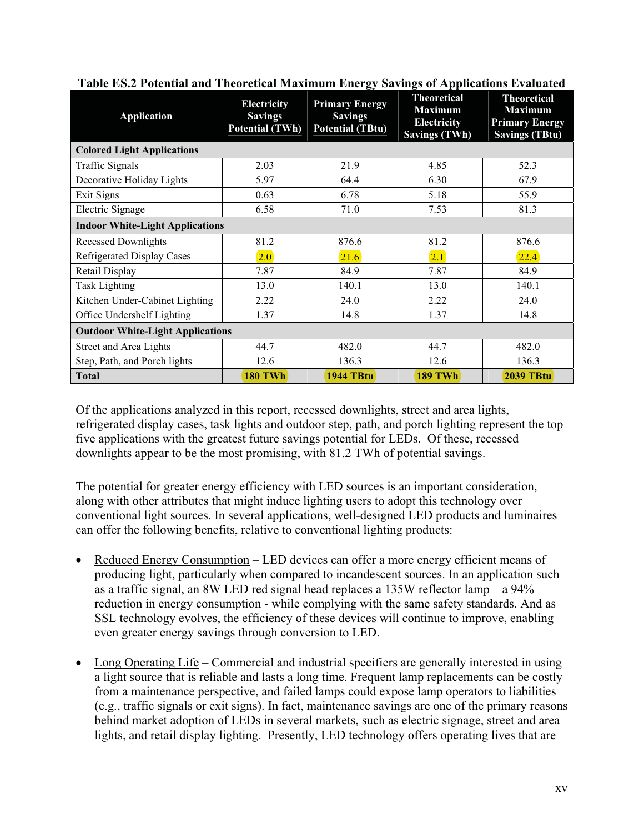| <b>Application</b>                      | <b>Electricity</b><br><b>Savings</b><br><b>Potential (TWh)</b> | ້<br><b>Primary Energy</b><br><b>Savings</b><br><b>Potential (TBtu)</b> | . .<br><b>Theoretical</b><br><b>Maximum</b><br><b>Electricity</b><br><b>Savings (TWh)</b> | <b>Theoretical</b><br><b>Maximum</b><br><b>Primary Energy</b><br><b>Savings (TBtu)</b> |  |  |
|-----------------------------------------|----------------------------------------------------------------|-------------------------------------------------------------------------|-------------------------------------------------------------------------------------------|----------------------------------------------------------------------------------------|--|--|
| <b>Colored Light Applications</b>       |                                                                |                                                                         |                                                                                           |                                                                                        |  |  |
| <b>Traffic Signals</b>                  | 2.03                                                           | 21.9                                                                    | 4.85                                                                                      | 52.3                                                                                   |  |  |
| Decorative Holiday Lights               | 5.97                                                           | 64.4                                                                    | 6.30                                                                                      | 67.9                                                                                   |  |  |
| Exit Signs                              | 0.63                                                           | 6.78                                                                    | 5.18                                                                                      | 55.9                                                                                   |  |  |
| Electric Signage                        | 6.58                                                           | 71.0                                                                    | 7.53                                                                                      | 81.3                                                                                   |  |  |
| <b>Indoor White-Light Applications</b>  |                                                                |                                                                         |                                                                                           |                                                                                        |  |  |
| <b>Recessed Downlights</b>              | 81.2                                                           | 876.6                                                                   | 81.2                                                                                      | 876.6                                                                                  |  |  |
| Refrigerated Display Cases              | 2.0                                                            | 21.6                                                                    | 2.1                                                                                       | 22.4                                                                                   |  |  |
| Retail Display                          | 7.87                                                           | 84.9                                                                    | 7.87                                                                                      | 84.9                                                                                   |  |  |
| <b>Task Lighting</b>                    | 13.0                                                           | 140.1                                                                   | 13.0                                                                                      | 140.1                                                                                  |  |  |
| Kitchen Under-Cabinet Lighting          | 2.22                                                           | 24.0                                                                    | 2.22                                                                                      | 24.0                                                                                   |  |  |
| Office Undershelf Lighting              | 1.37                                                           | 14.8                                                                    | 1.37                                                                                      | 14.8                                                                                   |  |  |
| <b>Outdoor White-Light Applications</b> |                                                                |                                                                         |                                                                                           |                                                                                        |  |  |
| Street and Area Lights                  | 44.7                                                           | 482.0                                                                   | 44.7                                                                                      | 482.0                                                                                  |  |  |
| Step, Path, and Porch lights            | 12.6                                                           | 136.3                                                                   | 12.6                                                                                      | 136.3                                                                                  |  |  |
| <b>Total</b>                            | <b>180 TWh</b>                                                 | <b>1944 TBtu</b>                                                        | <b>189 TWh</b>                                                                            | <b>2039 TBtu</b>                                                                       |  |  |

**Table ES.2 Potential and Theoretical Maximum Energy Savings of Applications Evaluated** 

Of the applications analyzed in this report, recessed downlights, street and area lights, refrigerated display cases, task lights and outdoor step, path, and porch lighting represent the top five applications with the greatest future savings potential for LEDs. Of these, recessed downlights appear to be the most promising, with 81.2 TWh of potential savings.

The potential for greater energy efficiency with LED sources is an important consideration, along with other attributes that might induce lighting users to adopt this technology over conventional light sources. In several applications, well-designed LED products and luminaires can offer the following benefits, relative to conventional lighting products:

- $\bullet$  Reduced Energy Consumption LED devices can offer a more energy efficient means of producing light, particularly when compared to incandescent sources. In an application such as a traffic signal, an 8W LED red signal head replaces a 135W reflector lamp – a 94% reduction in energy consumption - while complying with the same safety standards. And as SSL technology evolves, the efficiency of these devices will continue to improve, enabling even greater energy savings through conversion to LED.
- $\bullet$  Long Operating Life Commercial and industrial specifiers are generally interested in using a light source that is reliable and lasts a long time. Frequent lamp replacements can be costly from a maintenance perspective, and failed lamps could expose lamp operators to liabilities (e.g., traffic signals or exit signs). In fact, maintenance savings are one of the primary reasons behind market adoption of LEDs in several markets, such as electric signage, street and area lights, and retail display lighting. Presently, LED technology offers operating lives that are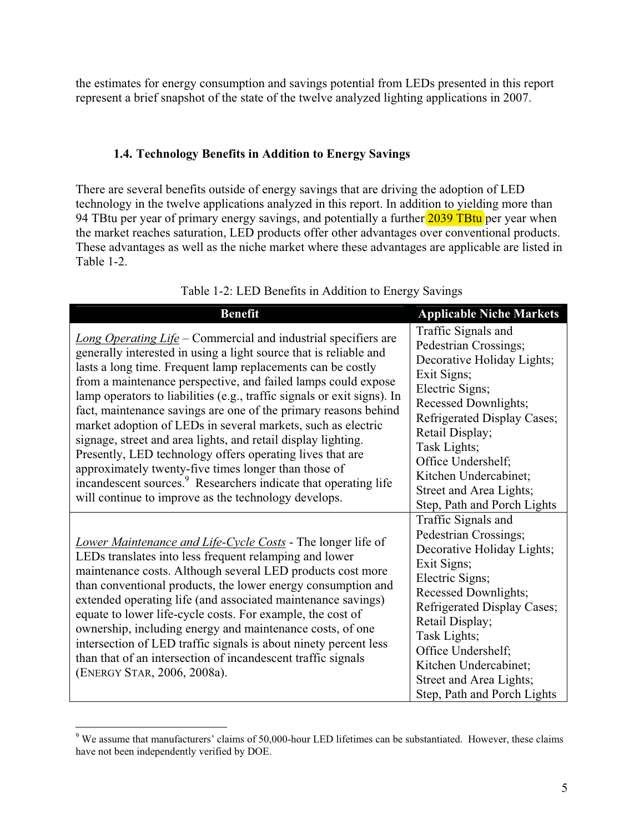the estimates for energy consumption and savings potential from LEDs presented in this report represent a brief snapshot of the state of the twelve analyzed lighting applications in 2007.

#### **1.4. Technology Benefits in Addition to Energy Savings**

There are several benefits outside of energy savings that are driving the adoption of LED technology in the twelve applications analyzed in this report. In addition to yielding more than 94 TBtu per year of primary energy savings, and potentially a further 2039 TBtu per year when the market reaches saturation, LED products offer other advantages over conventional products. These advantages as well as the niche market where these advantages are applicable are listed in Table 1-2.

| <b>Benefit</b>                                                                                                                                                                                                                                                                                                                                                                                                                                                                                                                                                                                                                                                                                                                                                                                                 | <b>Applicable Niche Markets</b>                                                                                                                                                                                                                                                                                 |
|----------------------------------------------------------------------------------------------------------------------------------------------------------------------------------------------------------------------------------------------------------------------------------------------------------------------------------------------------------------------------------------------------------------------------------------------------------------------------------------------------------------------------------------------------------------------------------------------------------------------------------------------------------------------------------------------------------------------------------------------------------------------------------------------------------------|-----------------------------------------------------------------------------------------------------------------------------------------------------------------------------------------------------------------------------------------------------------------------------------------------------------------|
| Long Operating Life - Commercial and industrial specifiers are<br>generally interested in using a light source that is reliable and<br>lasts a long time. Frequent lamp replacements can be costly<br>from a maintenance perspective, and failed lamps could expose<br>lamp operators to liabilities (e.g., traffic signals or exit signs). In<br>fact, maintenance savings are one of the primary reasons behind<br>market adoption of LEDs in several markets, such as electric<br>signage, street and area lights, and retail display lighting.<br>Presently, LED technology offers operating lives that are<br>approximately twenty-five times longer than those of<br>incandescent sources. <sup>9</sup> Researchers indicate that operating life<br>will continue to improve as the technology develops. | Traffic Signals and<br>Pedestrian Crossings;<br>Decorative Holiday Lights;<br>Exit Signs;<br>Electric Signs;<br>Recessed Downlights;<br>Refrigerated Display Cases;<br>Retail Display;<br>Task Lights;<br>Office Undershelf;<br>Kitchen Undercabinet;<br>Street and Area Lights;<br>Step, Path and Porch Lights |
| Lower Maintenance and Life-Cycle Costs - The longer life of<br>LEDs translates into less frequent relamping and lower<br>maintenance costs. Although several LED products cost more<br>than conventional products, the lower energy consumption and<br>extended operating life (and associated maintenance savings)<br>equate to lower life-cycle costs. For example, the cost of<br>ownership, including energy and maintenance costs, of one<br>intersection of LED traffic signals is about ninety percent less<br>than that of an intersection of incandescent traffic signals<br>(ENERGY STAR, 2006, 2008a).                                                                                                                                                                                              | Traffic Signals and<br>Pedestrian Crossings;<br>Decorative Holiday Lights;<br>Exit Signs;<br>Electric Signs;<br>Recessed Downlights;<br>Refrigerated Display Cases;<br>Retail Display;<br>Task Lights;<br>Office Undershelf;<br>Kitchen Undercabinet;<br>Street and Area Lights;<br>Step, Path and Porch Lights |

Table 1-2: LED Benefits in Addition to Energy Savings

 $\overline{a}$ 

<sup>&</sup>lt;sup>9</sup> We assume that manufacturers' claims of 50,000-hour LED lifetimes can be substantiated. However, these claims have not been independently verified by DOE.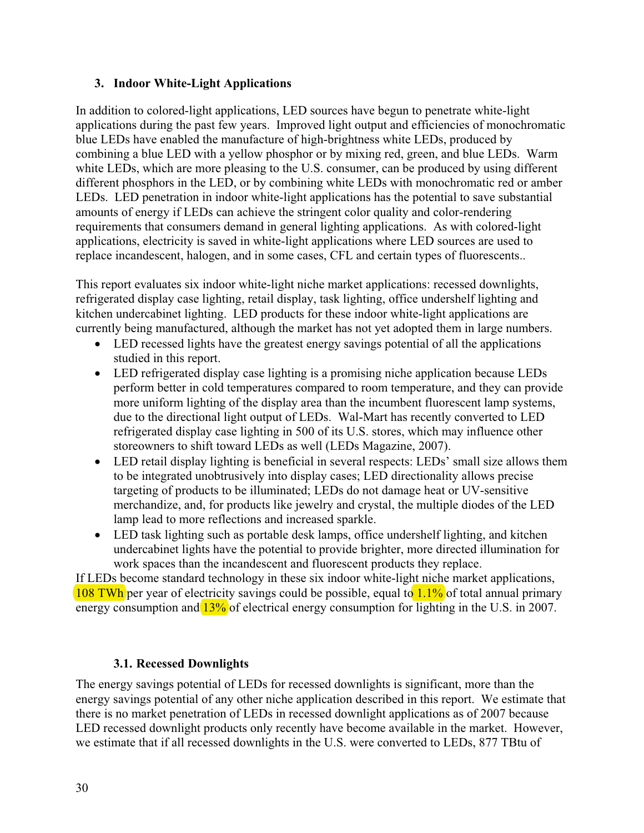#### **3. Indoor White-Light Applications**

In addition to colored-light applications, LED sources have begun to penetrate white-light applications during the past few years. Improved light output and efficiencies of monochromatic blue LEDs have enabled the manufacture of high-brightness white LEDs, produced by combining a blue LED with a yellow phosphor or by mixing red, green, and blue LEDs. Warm white LEDs, which are more pleasing to the U.S. consumer, can be produced by using different different phosphors in the LED, or by combining white LEDs with monochromatic red or amber LEDs. LED penetration in indoor white-light applications has the potential to save substantial amounts of energy if LEDs can achieve the stringent color quality and color-rendering requirements that consumers demand in general lighting applications. As with colored-light applications, electricity is saved in white-light applications where LED sources are used to replace incandescent, halogen, and in some cases, CFL and certain types of fluorescents..

This report evaluates six indoor white-light niche market applications: recessed downlights, refrigerated display case lighting, retail display, task lighting, office undershelf lighting and kitchen undercabinet lighting. LED products for these indoor white-light applications are currently being manufactured, although the market has not yet adopted them in large numbers.

- LED recessed lights have the greatest energy savings potential of all the applications studied in this report.
- LED refrigerated display case lighting is a promising niche application because LEDs perform better in cold temperatures compared to room temperature, and they can provide more uniform lighting of the display area than the incumbent fluorescent lamp systems, due to the directional light output of LEDs. Wal-Mart has recently converted to LED refrigerated display case lighting in 500 of its U.S. stores, which may influence other storeowners to shift toward LEDs as well (LEDs Magazine, 2007).
- LED retail display lighting is beneficial in several respects: LEDs' small size allows them to be integrated unobtrusively into display cases; LED directionality allows precise targeting of products to be illuminated; LEDs do not damage heat or UV-sensitive merchandize, and, for products like jewelry and crystal, the multiple diodes of the LED lamp lead to more reflections and increased sparkle.
- $\bullet$  LED task lighting such as portable desk lamps, office undershelf lighting, and kitchen undercabinet lights have the potential to provide brighter, more directed illumination for work spaces than the incandescent and fluorescent products they replace.

108 TWh per year of electricity savings could be possible, equal to 1.1% of total annual primary If LEDs become standard technology in these six indoor white-light niche market applications, energy consumption and  $13\%$  of electrical energy consumption for lighting in the U.S. in 2007.

## **3.1. Recessed Downlights**

The energy savings potential of LEDs for recessed downlights is significant, more than the energy savings potential of any other niche application described in this report. We estimate that there is no market penetration of LEDs in recessed downlight applications as of 2007 because LED recessed downlight products only recently have become available in the market. However, we estimate that if all recessed downlights in the U.S. were converted to LEDs, 877 TBtu of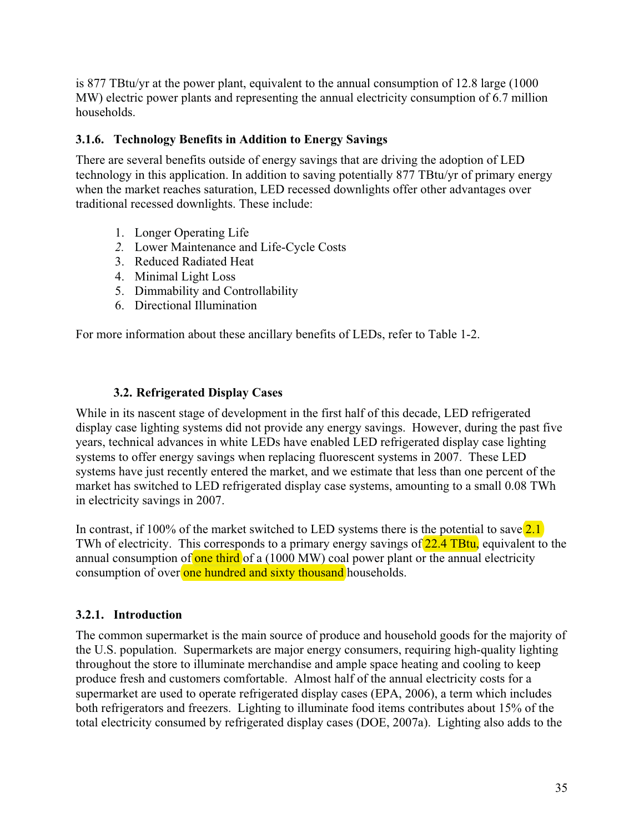is 877 TBtu/yr at the power plant, equivalent to the annual consumption of 12.8 large (1000 MW) electric power plants and representing the annual electricity consumption of 6.7 million households.

## **3.1.6. Technology Benefits in Addition to Energy Savings**

There are several benefits outside of energy savings that are driving the adoption of LED technology in this application. In addition to saving potentially 877 TBtu/yr of primary energy when the market reaches saturation, LED recessed downlights offer other advantages over traditional recessed downlights. These include:

- 1. Longer Operating Life
- *2.* Lower Maintenance and Life-Cycle Costs
- 3. Reduced Radiated Heat
- 4. Minimal Light Loss
- 5. Dimmability and Controllability
- 6. Directional Illumination

For more information about these ancillary benefits of LEDs, refer to Table 1-2.

## **3.2. Refrigerated Display Cases**

While in its nascent stage of development in the first half of this decade, LED refrigerated display case lighting systems did not provide any energy savings. However, during the past five years, technical advances in white LEDs have enabled LED refrigerated display case lighting systems to offer energy savings when replacing fluorescent systems in 2007. These LED systems have just recently entered the market, and we estimate that less than one percent of the market has switched to LED refrigerated display case systems, amounting to a small 0.08 TWh in electricity savings in 2007.

In contrast, if 100% of the market switched to LED systems there is the potential to save  $\sqrt{2.1}$ consumption of over one hundred and sixty thousand households. TWh of electricity. This corresponds to a primary energy savings of 22.4 TBtu, equivalent to the annual consumption of one third of a  $(1000 \text{ MW})$  coal power plant or the annual electricity

## **3.2.1. Introduction**

The common supermarket is the main source of produce and household goods for the majority of the U.S. population. Supermarkets are major energy consumers, requiring high-quality lighting throughout the store to illuminate merchandise and ample space heating and cooling to keep produce fresh and customers comfortable. Almost half of the annual electricity costs for a supermarket are used to operate refrigerated display cases (EPA, 2006), a term which includes both refrigerators and freezers. Lighting to illuminate food items contributes about 15% of the total electricity consumed by refrigerated display cases (DOE, 2007a). Lighting also adds to the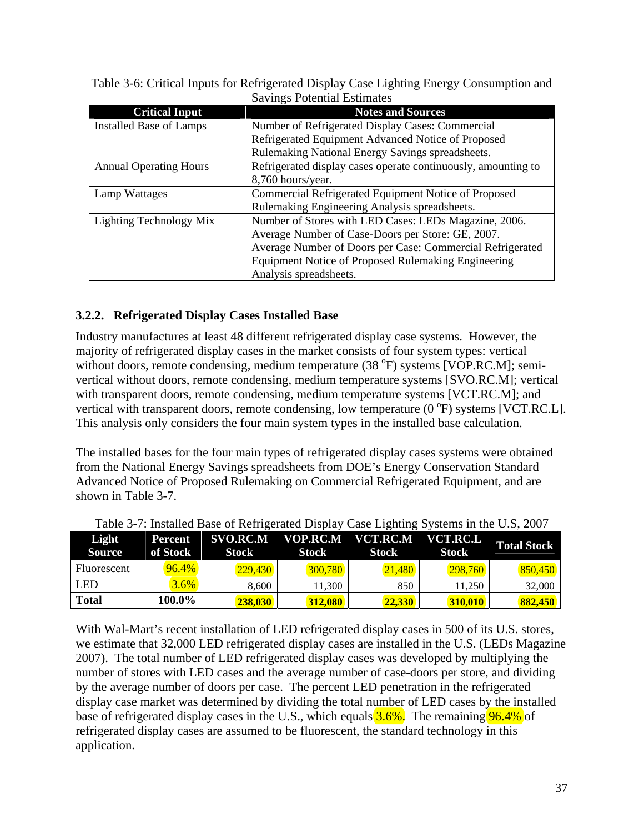| Davings I Otential Estimates  |                                                               |  |  |  |
|-------------------------------|---------------------------------------------------------------|--|--|--|
| <b>Critical Input</b>         | <b>Notes and Sources</b>                                      |  |  |  |
| Installed Base of Lamps       | Number of Refrigerated Display Cases: Commercial              |  |  |  |
|                               | Refrigerated Equipment Advanced Notice of Proposed            |  |  |  |
|                               | Rulemaking National Energy Savings spreadsheets.              |  |  |  |
| <b>Annual Operating Hours</b> | Refrigerated display cases operate continuously, amounting to |  |  |  |
|                               | 8,760 hours/year.                                             |  |  |  |
| Lamp Wattages                 | Commercial Refrigerated Equipment Notice of Proposed          |  |  |  |
|                               | Rulemaking Engineering Analysis spreadsheets.                 |  |  |  |
| Lighting Technology Mix       | Number of Stores with LED Cases: LEDs Magazine, 2006.         |  |  |  |
|                               | Average Number of Case-Doors per Store: GE, 2007.             |  |  |  |
|                               | Average Number of Doors per Case: Commercial Refrigerated     |  |  |  |
|                               | Equipment Notice of Proposed Rulemaking Engineering           |  |  |  |
|                               | Analysis spreadsheets.                                        |  |  |  |

Table 3-6: Critical Inputs for Refrigerated Display Case Lighting Energy Consumption and Savings Potential Estimates

## **3.2.2. Refrigerated Display Cases Installed Base**

Industry manufactures at least 48 different refrigerated display case systems. However, the majority of refrigerated display cases in the market consists of four system types: vertical without doors, remote condensing, medium temperature  $(38 \text{ °F})$  systems [VOP.RC.M]; semivertical without doors, remote condensing, medium temperature systems [SVO.RC.M]; vertical with transparent doors, remote condensing, medium temperature systems [VCT.RC.M]; and vertical with transparent doors, remote condensing, low temperature  $(0<sup>o</sup>F)$  systems [VCT.RC.L]. This analysis only considers the four main system types in the installed base calculation.

The installed bases for the four main types of refrigerated display cases systems were obtained from the National Energy Savings spreadsheets from DOE's Energy Conservation Standard Advanced Notice of Proposed Rulemaking on Commercial Refrigerated Equipment, and are shown in Table 3-7.

| Light<br><b>Source</b> | Percent<br>of Stock | $SVO.R\overline{C.M}$<br><b>Stock</b> | <b>Stock</b> | VOP.RC.M VCT.RC.M<br><b>Stock</b> | VCT.RC.L<br>Stock | <b>Total Stock</b> |
|------------------------|---------------------|---------------------------------------|--------------|-----------------------------------|-------------------|--------------------|
| Fluorescent            | 96.4%               | 229,430                               | 300.780      | 21,480                            | 298.760           | 850.450            |
| LED                    | $3.6\%$             | 8.600                                 | 11.300       | 850                               | 11.250            | 32,000             |
| <b>Total</b>           | 100.0%              | <b>238.030</b>                        | 312,080      | 22.330                            | 310.010           | 882,450            |

| Table 3-7: Installed Base of Refrigerated Display Case Lighting Systems in the U.S, 2007 |  |  |
|------------------------------------------------------------------------------------------|--|--|
|                                                                                          |  |  |

With Wal-Mart's recent installation of LED refrigerated display cases in 500 of its U.S. stores, we estimate that 32,000 LED refrigerated display cases are installed in the U.S. (LEDs Magazine 2007). The total number of LED refrigerated display cases was developed by multiplying the number of stores with LED cases and the average number of case-doors per store, and dividing by the average number of doors per case. The percent LED penetration in the refrigerated display case market was determined by dividing the total number of LED cases by the installed base of refrigerated display cases in the U.S., which equals **3.6%**. The remaining **96.4%** of refrigerated display cases are assumed to be fluorescent, the standard technology in this application.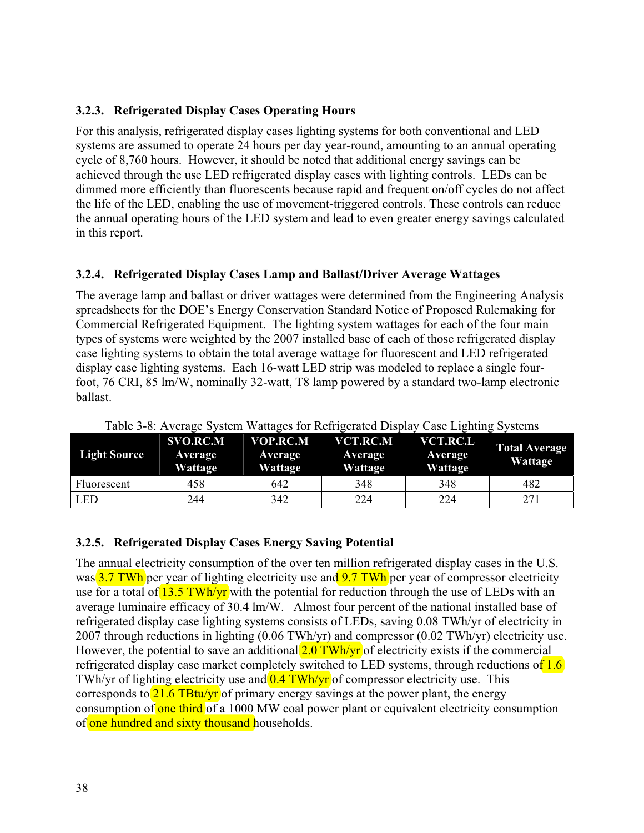## **3.2.3. Refrigerated Display Cases Operating Hours**

For this analysis, refrigerated display cases lighting systems for both conventional and LED systems are assumed to operate 24 hours per day year-round, amounting to an annual operating cycle of 8,760 hours. However, it should be noted that additional energy savings can be achieved through the use LED refrigerated display cases with lighting controls. LEDs can be dimmed more efficiently than fluorescents because rapid and frequent on/off cycles do not affect the life of the LED, enabling the use of movement-triggered controls. These controls can reduce the annual operating hours of the LED system and lead to even greater energy savings calculated in this report.

## **3.2.4. Refrigerated Display Cases Lamp and Ballast/Driver Average Wattages**

The average lamp and ballast or driver wattages were determined from the Engineering Analysis spreadsheets for the DOE's Energy Conservation Standard Notice of Proposed Rulemaking for Commercial Refrigerated Equipment. The lighting system wattages for each of the four main types of systems were weighted by the 2007 installed base of each of those refrigerated display case lighting systems to obtain the total average wattage for fluorescent and LED refrigerated display case lighting systems. Each 16-watt LED strip was modeled to replace a single fourfoot, 76 CRI, 85 lm/W, nominally 32-watt, T8 lamp powered by a standard two-lamp electronic ballast.

| <b>Light Source</b> | <b>SVO.RC.M</b><br>Average<br>Wattage | <b>VOP.RC.M</b><br>Average<br>Wattage | VCT.RC.M<br>Average<br>Wattage | <b>VCT.RC.L</b><br>Average<br>Wattage | <b>Total Average</b><br>Wattage |
|---------------------|---------------------------------------|---------------------------------------|--------------------------------|---------------------------------------|---------------------------------|
| Fluorescent         | 458                                   | 642                                   | 348                            | 348                                   | 482                             |
| <b>LED</b>          | 244                                   | 342                                   | 224                            | 224                                   | 271                             |

Table 3-8: Average System Wattages for Refrigerated Display Case Lighting Systems

## **3.2.5. Refrigerated Display Cases Energy Saving Potential**

The annual electricity consumption of the over ten million refrigerated display cases in the U.S. was  $3.7$  TWh per year of lighting electricity use and  $9.7$  TWh per year of compressor electricity use for a total of  $13.5$  TWh/yr with the potential for reduction through the use of LEDs with an average luminaire efficacy of 30.4 lm/W. Almost four percent of the national installed base of refrigerated display case lighting systems consists of LEDs, saving 0.08 TWh/yr of electricity in 2007 through reductions in lighting (0.06 TWh/yr) and compressor (0.02 TWh/yr) electricity use. However, the potential to save an additional  $2.0$  TWh/yr of electricity exists if the commercial refrigerated display case market completely switched to LED systems, through reductions of  $1.6$ TWh/yr of lighting electricity use and  $0.4$  TWh/yr of compressor electricity use. This corresponds to  $\frac{21.6 \text{ T} \text{B} \text{tu}/\text{yr}}{21.6 \text{ T} \text{B} \text{tu}/\text{yr}}$  of primary energy savings at the power plant, the energy consumption of one third of a 1000 MW coal power plant or equivalent electricity consumption of one hundred and sixty thousand households.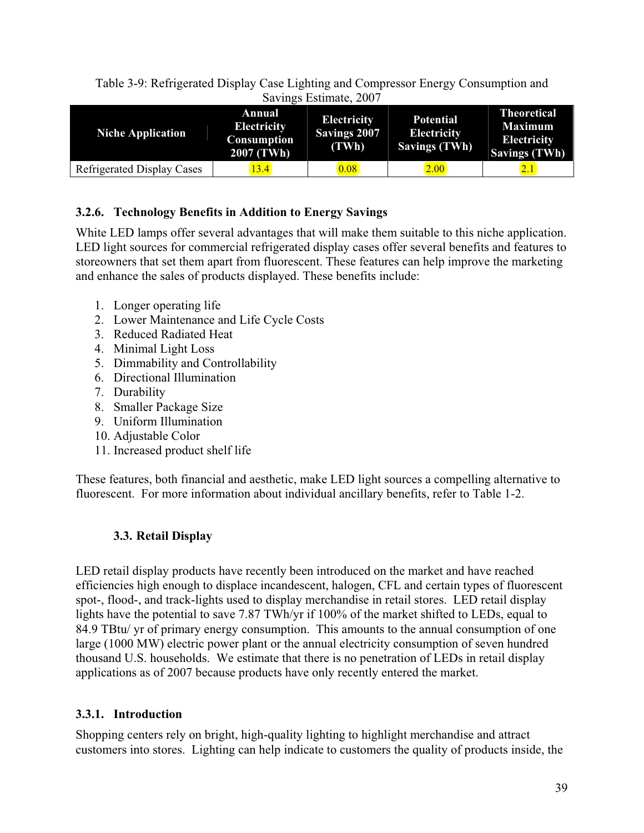Table 3-9: Refrigerated Display Case Lighting and Compressor Energy Consumption and Savings Estimate, 2007

| <b>Niche Application</b>          | <b>Annual</b><br><b>Electricity</b><br>Consumption<br>$2007$ (TWh) | <b>Electricity</b><br><b>Savings 2007</b><br>(TWh) | <b>Potential</b><br><b>Electricity</b><br>Savings (TWh) | <b>Theoretical</b><br><b>Maximum</b><br><b>Electricity</b><br><b>Savings (TWh)</b> |
|-----------------------------------|--------------------------------------------------------------------|----------------------------------------------------|---------------------------------------------------------|------------------------------------------------------------------------------------|
| <b>Refrigerated Display Cases</b> | 13.4                                                               | 0.08                                               | 2.00                                                    | 2.1                                                                                |

## **3.2.6. Technology Benefits in Addition to Energy Savings**

White LED lamps offer several advantages that will make them suitable to this niche application. LED light sources for commercial refrigerated display cases offer several benefits and features to storeowners that set them apart from fluorescent. These features can help improve the marketing and enhance the sales of products displayed. These benefits include:

- 1. Longer operating life
- 2. Lower Maintenance and Life Cycle Costs
- 3. Reduced Radiated Heat
- 4. Minimal Light Loss
- 5. Dimmability and Controllability
- 6. Directional Illumination
- 7. Durability
- 8. Smaller Package Size
- 9. Uniform Illumination
- 10. Adjustable Color
- 11. Increased product shelf life

These features, both financial and aesthetic, make LED light sources a compelling alternative to fluorescent. For more information about individual ancillary benefits, refer to Table 1-2.

## **3.3. Retail Display**

LED retail display products have recently been introduced on the market and have reached efficiencies high enough to displace incandescent, halogen, CFL and certain types of fluorescent spot-, flood-, and track-lights used to display merchandise in retail stores. LED retail display lights have the potential to save 7.87 TWh/yr if 100% of the market shifted to LEDs, equal to 84.9 TBtu/ yr of primary energy consumption. This amounts to the annual consumption of one large (1000 MW) electric power plant or the annual electricity consumption of seven hundred thousand U.S. households. We estimate that there is no penetration of LEDs in retail display applications as of 2007 because products have only recently entered the market.

## **3.3.1. Introduction**

Shopping centers rely on bright, high-quality lighting to highlight merchandise and attract customers into stores. Lighting can help indicate to customers the quality of products inside, the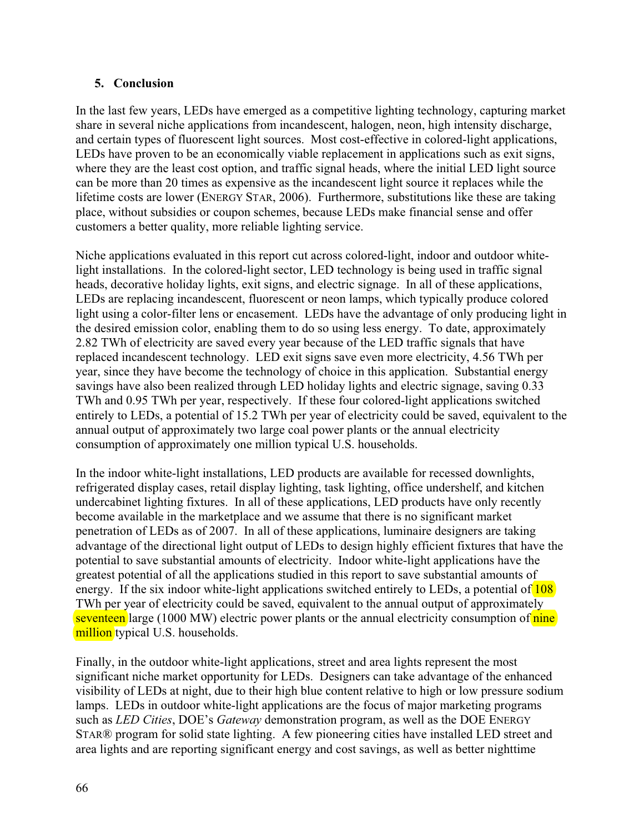## **5. Conclusion**

In the last few years, LEDs have emerged as a competitive lighting technology, capturing market share in several niche applications from incandescent, halogen, neon, high intensity discharge, and certain types of fluorescent light sources. Most cost-effective in colored-light applications, LEDs have proven to be an economically viable replacement in applications such as exit signs, where they are the least cost option, and traffic signal heads, where the initial LED light source can be more than 20 times as expensive as the incandescent light source it replaces while the lifetime costs are lower (ENERGY STAR, 2006). Furthermore, substitutions like these are taking place, without subsidies or coupon schemes, because LEDs make financial sense and offer customers a better quality, more reliable lighting service.

Niche applications evaluated in this report cut across colored-light, indoor and outdoor whitelight installations. In the colored-light sector, LED technology is being used in traffic signal heads, decorative holiday lights, exit signs, and electric signage. In all of these applications, LEDs are replacing incandescent, fluorescent or neon lamps, which typically produce colored light using a color-filter lens or encasement. LEDs have the advantage of only producing light in the desired emission color, enabling them to do so using less energy. To date, approximately 2.82 TWh of electricity are saved every year because of the LED traffic signals that have replaced incandescent technology. LED exit signs save even more electricity, 4.56 TWh per year, since they have become the technology of choice in this application. Substantial energy savings have also been realized through LED holiday lights and electric signage, saving 0.33 TWh and 0.95 TWh per year, respectively. If these four colored-light applications switched entirely to LEDs, a potential of 15.2 TWh per year of electricity could be saved, equivalent to the annual output of approximately two large coal power plants or the annual electricity consumption of approximately one million typical U.S. households.

In the indoor white-light installations, LED products are available for recessed downlights, refrigerated display cases, retail display lighting, task lighting, office undershelf, and kitchen undercabinet lighting fixtures. In all of these applications, LED products have only recently become available in the marketplace and we assume that there is no significant market penetration of LEDs as of 2007. In all of these applications, luminaire designers are taking advantage of the directional light output of LEDs to design highly efficient fixtures that have the potential to save substantial amounts of electricity. Indoor white-light applications have the greatest potential of all the applications studied in this report to save substantial amounts of energy. If the six indoor white-light applications switched entirely to LEDs, a potential of 108 TWh per year of electricity could be saved, equivalent to the annual output of approximately seventeen large (1000 MW) electric power plants or the annual electricity consumption of nine million typical U.S. households.

Finally, in the outdoor white-light applications, street and area lights represent the most significant niche market opportunity for LEDs. Designers can take advantage of the enhanced visibility of LEDs at night, due to their high blue content relative to high or low pressure sodium lamps. LEDs in outdoor white-light applications are the focus of major marketing programs such as *LED Cities*, DOE's *Gateway* demonstration program, as well as the DOE ENERGY STAR® program for solid state lighting. A few pioneering cities have installed LED street and area lights and are reporting significant energy and cost savings, as well as better nighttime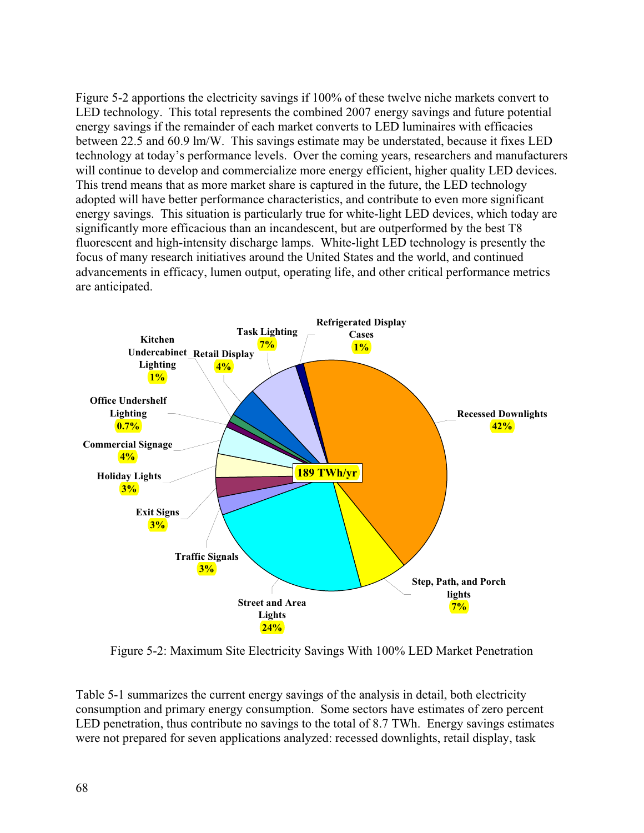Figure 5-2 apportions the electricity savings if 100% of these twelve niche markets convert to LED technology. This total represents the combined 2007 energy savings and future potential energy savings if the remainder of each market converts to LED luminaires with efficacies between 22.5 and 60.9 lm/W. This savings estimate may be understated, because it fixes LED technology at today's performance levels. Over the coming years, researchers and manufacturers will continue to develop and commercialize more energy efficient, higher quality LED devices. This trend means that as more market share is captured in the future, the LED technology adopted will have better performance characteristics, and contribute to even more significant energy savings. This situation is particularly true for white-light LED devices, which today are significantly more efficacious than an incandescent, but are outperformed by the best T8 fluorescent and high-intensity discharge lamps. White-light LED technology is presently the focus of many research initiatives around the United States and the world, and continued advancements in efficacy, lumen output, operating life, and other critical performance metrics are anticipated.



Figure 5-2: Maximum Site Electricity Savings With 100% LED Market Penetration

Table 5-1 summarizes the current energy savings of the analysis in detail, both electricity consumption and primary energy consumption. Some sectors have estimates of zero percent LED penetration, thus contribute no savings to the total of 8.7 TWh. Energy savings estimates were not prepared for seven applications analyzed: recessed downlights, retail display, task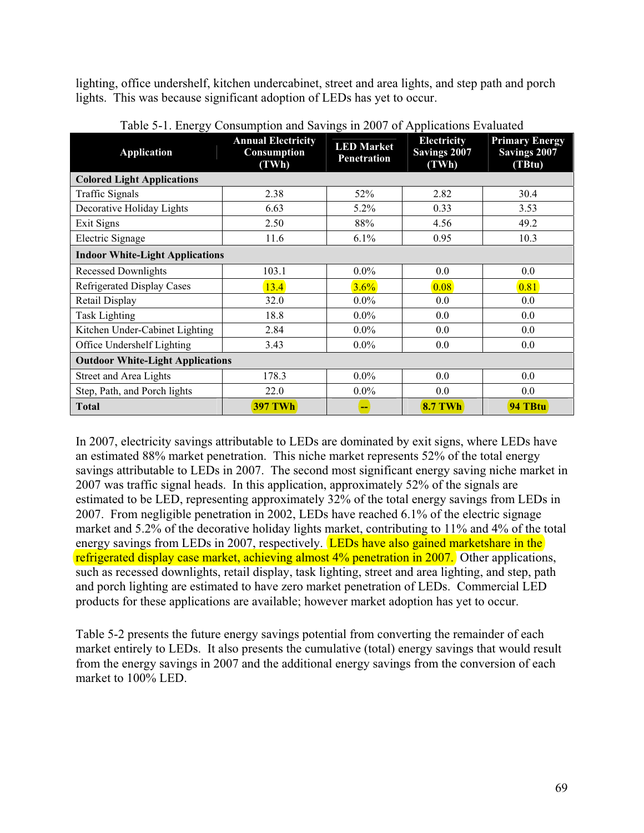lighting, office undershelf, kitchen undercabinet, street and area lights, and step path and porch lights. This was because significant adoption of LEDs has yet to occur.

| پ<br><b>Application</b>                 | <b>Annual Electricity</b><br>Consumption<br>(TWh) | <b>LED Market</b><br><b>Penetration</b> | <b>Electricity</b><br>Savings 2007<br>(TWh) | <b>Primary Energy</b><br><b>Savings 2007</b><br>(TBtu) |  |  |
|-----------------------------------------|---------------------------------------------------|-----------------------------------------|---------------------------------------------|--------------------------------------------------------|--|--|
| <b>Colored Light Applications</b>       |                                                   |                                         |                                             |                                                        |  |  |
| Traffic Signals                         | 2.38                                              | 52%                                     | 2.82                                        | 30.4                                                   |  |  |
| Decorative Holiday Lights               | 6.63                                              | $5.2\%$                                 | 0.33                                        | 3.53                                                   |  |  |
| Exit Signs                              | 2.50                                              | 88%                                     | 4.56                                        | 49.2                                                   |  |  |
| Electric Signage                        | 11.6                                              | $6.1\%$                                 | 0.95                                        | 10.3                                                   |  |  |
| <b>Indoor White-Light Applications</b>  |                                                   |                                         |                                             |                                                        |  |  |
| <b>Recessed Downlights</b>              | 103.1                                             | $0.0\%$                                 | 0.0                                         | 0.0                                                    |  |  |
| <b>Refrigerated Display Cases</b>       | 13.4                                              | 3.6%                                    | 0.08                                        | 0.81                                                   |  |  |
| Retail Display                          | 32.0                                              | $0.0\%$                                 | 0.0                                         | 0.0                                                    |  |  |
| <b>Task Lighting</b>                    | 18.8                                              | $0.0\%$                                 | 0.0                                         | 0.0                                                    |  |  |
| Kitchen Under-Cabinet Lighting          | 2.84                                              | $0.0\%$                                 | 0.0                                         | 0.0                                                    |  |  |
| Office Undershelf Lighting              | 3.43                                              | $0.0\%$                                 | 0.0                                         | 0.0                                                    |  |  |
| <b>Outdoor White-Light Applications</b> |                                                   |                                         |                                             |                                                        |  |  |
| Street and Area Lights                  | 178.3                                             | $0.0\%$                                 | 0.0                                         | 0.0                                                    |  |  |
| Step, Path, and Porch lights            | 22.0                                              | $0.0\%$                                 | 0.0                                         | 0.0                                                    |  |  |
| <b>Total</b>                            | <b>397 TWh</b>                                    | --                                      | <b>8.7 TWh</b>                              | 94 TBtu                                                |  |  |

Table 5-1. Energy Consumption and Savings in 2007 of Applications Evaluated

In 2007, electricity savings attributable to LEDs are dominated by exit signs, where LEDs have an estimated 88% market penetration. This niche market represents 52% of the total energy savings attributable to LEDs in 2007. The second most significant energy saving niche market in 2007 was traffic signal heads. In this application, approximately 52% of the signals are estimated to be LED, representing approximately 32% of the total energy savings from LEDs in 2007. From negligible penetration in 2002, LEDs have reached 6.1% of the electric signage market and 5.2% of the decorative holiday lights market, contributing to 11% and 4% of the total energy savings from LEDs in 2007, respectively. **LEDs have also gained marketshare in the** refrigerated display case market, achieving almost 4% penetration in 2007. Other applications, such as recessed downlights, retail display, task lighting, street and area lighting, and step, path and porch lighting are estimated to have zero market penetration of LEDs. Commercial LED products for these applications are available; however market adoption has yet to occur.

Table 5-2 presents the future energy savings potential from converting the remainder of each market entirely to LEDs. It also presents the cumulative (total) energy savings that would result from the energy savings in 2007 and the additional energy savings from the conversion of each market to 100% LED.